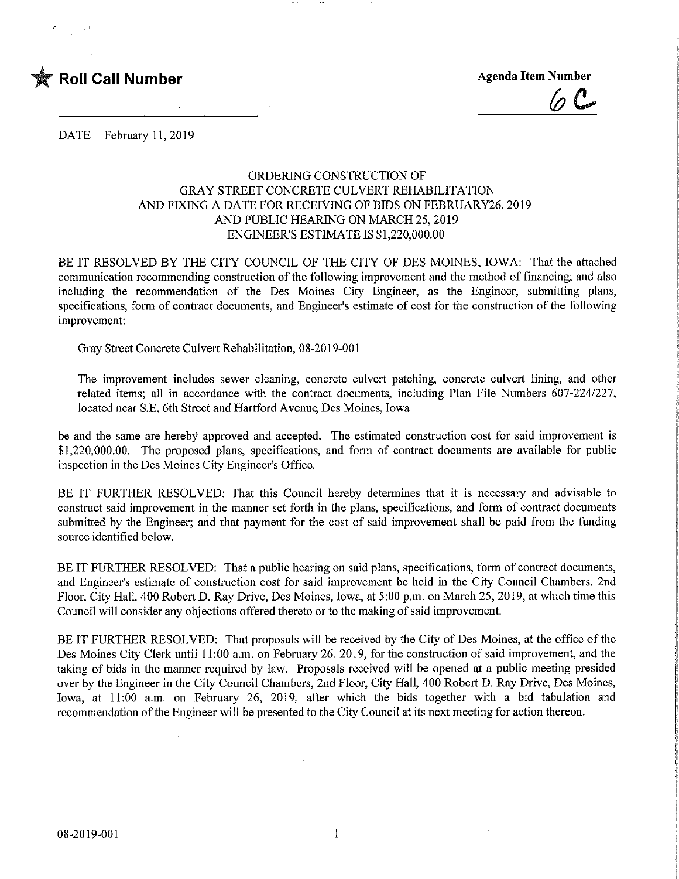

 $(a)$   $C_2$ 

DATE February 11, 2019

## ORDERING CONSTRUCTION OF GRAY STREET CONCRETE CULVERT REHABILITATION AND FIXING A DATE FOR RECEIVING OF BIDS ON FEBRUARY26, 2019 AND PUBLIC HEARING ON MARCH 25,2019 ENGINEER'S ESTIMATE IS \$1,220,000.00

BE IT RESOLVED BY THE CITY COUNCIL OF THE CITY OF DES MOINES, IOWA: That the attached communication recommending construction of the following improvement and the method of financing; and also including the recommendation of the Des Moines City Engineer, as the Engineer, submitting plans, specifications, form of contract documents, and Engineer's estimate of cost for the construction of the following improvement:

Gray Street Concrete Culvert Rehabilitation, 08-2019-001

The improvement includes sewer cleaning, concrete culvert patching, concrete culvert lining, and other related items; all in accordance with the contract documents, including Plan File Numbers 607-224/227, located near S.E. 6th Street and Hartford Avenue Des Momes, Iowa

be and the same are hereby approved and accepted. The estimated construction cost for said improvement is \$1,220,000.00. The proposed plans, specifications, and form of contract documents are available for public inspection in the Des Moines City Engineer's Office.

BE IT FURTHER RESOLVED: That this Council hereby determines that it is necessary and advisable to construct said improvement in the manner set forth in the plans, specifications, and form of contract documents submitted by the Engineer; and that payment for the cost of said improvement shall be paid from the funding source identified below.

BE IT FURTHER RESOLVED: That a public hearing on said plans, specifications, form of contract documents, and Engineer's estimate of construction cost for said improvement be held m the City Council Chambers, 2nd Floor, City Hall, 400 Robert D. Ray Drive, Des Moines, Iowa, at 5:00 p.m. on March 25, 2019, at which time this Council will consider any objections offered thereto or to the making of said improvement.

BE IT FURTHER RESOLVED: That proposals will be received by the City of Des Moines, at the office of the Des Moines City Clerk until 11:00 a.m. on February 26, 2019, for the construction of said improvement, and the taking of bids in the manner required by law. Proposals received will be opened at a public meeting presided over by the Engineer in the City Council Chambers, 2nd Floor, City Hall, 400 Robert D. Ray Drive, Des Moines, Iowa, at 11:00 a.m. on February 26, 2019, after which the bids together with a bid tabulation and recommendation of the Engineer will be presented to the City Council at its next meeting for action thereon.

 $\mathbf{1}$